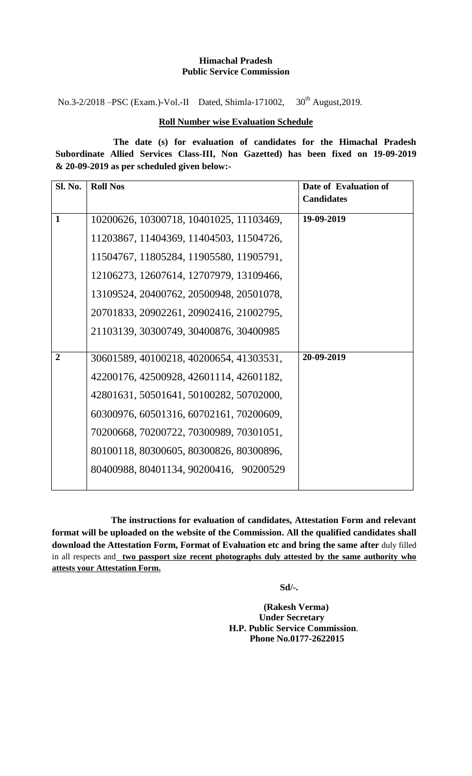### **Himachal Pradesh Public Service Commission**

No.3-2/2018 –PSC (Exam.)-Vol.-II Dated, Shimla-171002,  $30<sup>th</sup>$  August, 2019.

## **Roll Number wise Evaluation Schedule**

**The date (s) for evaluation of candidates for the Himachal Pradesh Subordinate Allied Services Class-III, Non Gazetted) has been fixed on 19-09-2019 & 20-09-2019 as per scheduled given below:-** 

| <b>Sl. No.</b> | <b>Roll Nos</b>                         | Date of Evaluation of |
|----------------|-----------------------------------------|-----------------------|
|                |                                         | <b>Candidates</b>     |
| 1              | 10200626, 10300718, 10401025, 11103469, | 19-09-2019            |
|                | 11203867, 11404369, 11404503, 11504726, |                       |
|                | 11504767, 11805284, 11905580, 11905791, |                       |
|                | 12106273, 12607614, 12707979, 13109466, |                       |
|                | 13109524, 20400762, 20500948, 20501078, |                       |
|                | 20701833, 20902261, 20902416, 21002795, |                       |
|                | 21103139, 30300749, 30400876, 30400985  |                       |
|                |                                         |                       |
| $\overline{2}$ | 30601589, 40100218, 40200654, 41303531, | 20-09-2019            |
|                | 42200176, 42500928, 42601114, 42601182, |                       |
|                | 42801631, 50501641, 50100282, 50702000, |                       |
|                | 60300976, 60501316, 60702161, 70200609, |                       |
|                | 70200668, 70200722, 70300989, 70301051, |                       |
|                | 80100118, 80300605, 80300826, 80300896, |                       |
|                | 80400988, 80401134, 90200416, 90200529  |                       |
|                |                                         |                       |

**The instructions for evaluation of candidates, Attestation Form and relevant format will be uploaded on the website of the Commission. All the qualified candidates shall download the Attestation Form, Format of Evaluation etc and bring the same after** duly filled in all respects and **two passport size recent photographs duly attested by the same authority who attests your Attestation Form.**

 **Sd/-.**

 **(Rakesh Verma) Under Secretary H.P. Public Service Commission**. **Phone No.0177-2622015**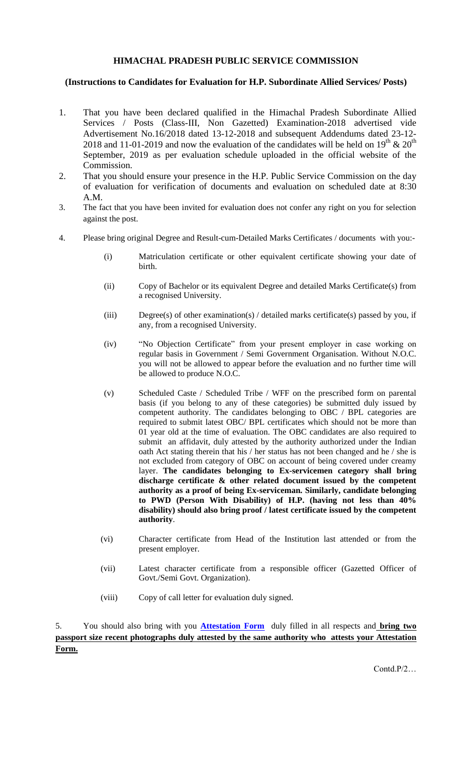## **HIMACHAL PRADESH PUBLIC SERVICE COMMISSION**

### **(Instructions to Candidates for Evaluation for H.P. Subordinate Allied Services/ Posts)**

- 1. That you have been declared qualified in the Himachal Pradesh Subordinate Allied Services / Posts (Class-III, Non Gazetted) Examination-2018 advertised vide Advertisement No.16/2018 dated 13-12-2018 and subsequent Addendums dated 23-12- 2018 and 11-01-2019 and now the evaluation of the candidates will be held on  $19^{th}$  &  $20^{th}$ September, 2019 as per evaluation schedule uploaded in the official website of the Commission.
- 2. That you should ensure your presence in the H.P. Public Service Commission on the day of evaluation for verification of documents and evaluation on scheduled date at 8:30 A.M.
- 3. The fact that you have been invited for evaluation does not confer any right on you for selection against the post.
- 4. Please bring original Degree and Result-cum-Detailed Marks Certificates / documents with you:-
	- (i) Matriculation certificate or other equivalent certificate showing your date of birth.
	- (ii) Copy of Bachelor or its equivalent Degree and detailed Marks Certificate(s) from a recognised University.
	- (iii) Degree(s) of other examination(s) / detailed marks certificate(s) passed by you, if any, from a recognised University.
	- (iv) "No Objection Certificate" from your present employer in case working on regular basis in Government / Semi Government Organisation. Without N.O.C. you will not be allowed to appear before the evaluation and no further time will be allowed to produce N.O.C.
	- (v) Scheduled Caste / Scheduled Tribe / WFF on the prescribed form on parental basis (if you belong to any of these categories) be submitted duly issued by competent authority. The candidates belonging to OBC / BPL categories are required to submit latest OBC/ BPL certificates which should not be more than 01 year old at the time of evaluation. The OBC candidates are also required to submit an affidavit, duly attested by the authority authorized under the Indian oath Act stating therein that his / her status has not been changed and he / she is not excluded from category of OBC on account of being covered under creamy layer. **The candidates belonging to Ex-servicemen category shall bring discharge certificate & other related document issued by the competent authority as a proof of being Ex-serviceman. Similarly, candidate belonging to PWD (Person With Disability) of H.P. (having not less than 40% disability) should also bring proof / latest certificate issued by the competent authority**.
	- (vi) Character certificate from Head of the Institution last attended or from the present employer.
	- (vii) Latest character certificate from a responsible officer (Gazetted Officer of Govt./Semi Govt. Organization).
	- (viii) Copy of call letter for evaluation duly signed.

5. You should also bring with you **[Attestation Form](http://www.hppsc.hp.gov.in/hppsc/file.axd?file=2019%2f6%2fAttestation+Form.pdf)** duly filled in all respects and **bring two passport size recent photographs duly attested by the same authority who attests your Attestation Form.**

Contd.P/2…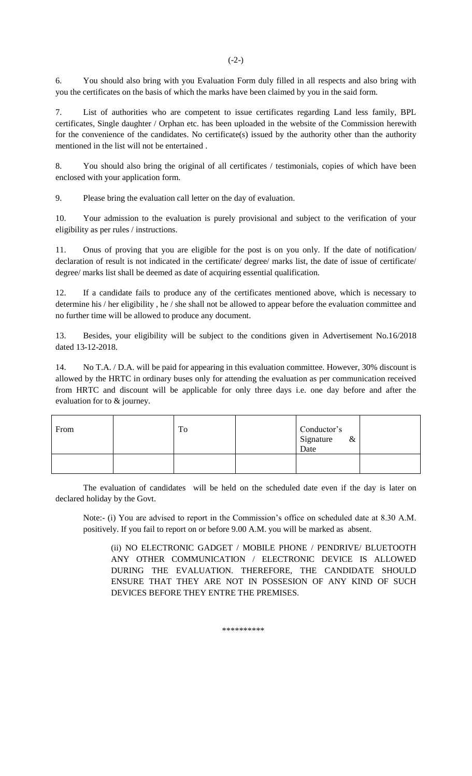6. You should also bring with you Evaluation Form duly filled in all respects and also bring with you the certificates on the basis of which the marks have been claimed by you in the said form.

 $(-2-)$ 

7. List of authorities who are competent to issue certificates regarding Land less family, BPL certificates, Single daughter / Orphan etc. has been uploaded in the website of the Commission herewith for the convenience of the candidates. No certificate(s) issued by the authority other than the authority mentioned in the list will not be entertained .

8. You should also bring the original of all certificates / testimonials, copies of which have been enclosed with your application form.

9. Please bring the evaluation call letter on the day of evaluation.

10. Your admission to the evaluation is purely provisional and subject to the verification of your eligibility as per rules / instructions.

11. Onus of proving that you are eligible for the post is on you only. If the date of notification/ declaration of result is not indicated in the certificate/ degree/ marks list, the date of issue of certificate/ degree/ marks list shall be deemed as date of acquiring essential qualification.

12. If a candidate fails to produce any of the certificates mentioned above, which is necessary to determine his / her eligibility , he / she shall not be allowed to appear before the evaluation committee and no further time will be allowed to produce any document.

13. Besides, your eligibility will be subject to the conditions given in Advertisement No.16/2018 dated 13-12-2018.

14. No T.A. / D.A. will be paid for appearing in this evaluation committee. However, 30% discount is allowed by the HRTC in ordinary buses only for attending the evaluation as per communication received from HRTC and discount will be applicable for only three days i.e. one day before and after the evaluation for to & journey.

| From | To | Conductor's<br>Signature<br>Date<br>$\&$ |  |
|------|----|------------------------------------------|--|
|      |    |                                          |  |

The evaluation of candidates will be held on the scheduled date even if the day is later on declared holiday by the Govt.

Note:- (i) You are advised to report in the Commission's office on scheduled date at 8.30 A.M. positively. If you fail to report on or before 9.00 A.M. you will be marked as absent.

(ii) NO ELECTRONIC GADGET / MOBILE PHONE / PENDRIVE/ BLUETOOTH ANY OTHER COMMUNICATION / ELECTRONIC DEVICE IS ALLOWED DURING THE EVALUATION. THEREFORE, THE CANDIDATE SHOULD ENSURE THAT THEY ARE NOT IN POSSESION OF ANY KIND OF SUCH DEVICES BEFORE THEY ENTRE THE PREMISES.

\*\*\*\*\*\*\*\*\*\*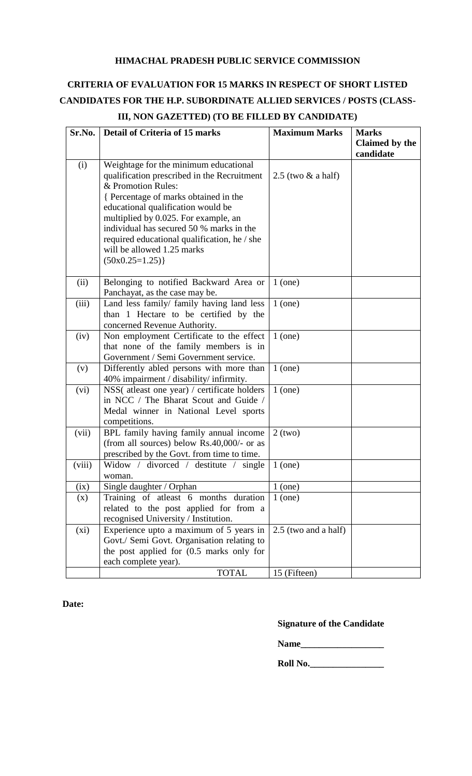## **HIMACHAL PRADESH PUBLIC SERVICE COMMISSION**

# **CRITERIA OF EVALUATION FOR 15 MARKS IN RESPECT OF SHORT LISTED CANDIDATES FOR THE H.P. SUBORDINATE ALLIED SERVICES / POSTS (CLASS-**

| candidate<br>Weightage for the minimum educational<br>(i)<br>qualification prescribed in the Recruitment<br>$2.5$ (two $&$ a half)<br>& Promotion Rules:<br>{ Percentage of marks obtained in the<br>educational qualification would be<br>multiplied by 0.025. For example, an<br>individual has secured 50 % marks in the<br>required educational qualification, he / she<br>will be allowed 1.25 marks<br>$(50x0.25=1.25)$<br>(ii)<br>Belonging to notified Backward Area or<br>$1$ (one)<br>Panchayat, as the case may be.<br>Land less family/ family having land less<br>(iii)<br>$1$ (one)<br>than 1 Hectare to be certified by the<br>concerned Revenue Authority.<br>Non employment Certificate to the effect<br>$1$ (one)<br>(iv)<br>that none of the family members is in<br>Government / Semi Government service.<br>Differently abled persons with more than<br>$1$ (one)<br>(v)<br>40% impairment / disability/ infirmity.<br>NSS(atleast one year) / certificate holders<br>$1$ (one)<br>(vi)<br>in NCC / The Bharat Scout and Guide /<br>Medal winner in National Level sports<br>competitions.<br>BPL family having family annual income<br>(vii)<br>$2$ (two)<br>(from all sources) below $Rs.40,000/$ - or as<br>prescribed by the Govt. from time to time.<br>(viii)<br>Widow / divorced / destitute / single<br>$1$ (one)<br>woman.<br>(ix)<br>Single daughter / Orphan<br>$1$ (one)<br>Training of atleast 6 months duration<br>$1$ (one)<br>(x)<br>related to the post applied for from a<br>recognised University / Institution.<br>Experience upto a maximum of 5 years in<br>(xi)<br>2.5 (two and a half)<br>Govt./ Semi Govt. Organisation relating to<br>the post applied for (0.5 marks only for<br>each complete year). | Sr.No. | <b>Detail of Criteria of 15 marks</b> | <b>Maximum Marks</b> | <b>Marks</b>   |
|-------------------------------------------------------------------------------------------------------------------------------------------------------------------------------------------------------------------------------------------------------------------------------------------------------------------------------------------------------------------------------------------------------------------------------------------------------------------------------------------------------------------------------------------------------------------------------------------------------------------------------------------------------------------------------------------------------------------------------------------------------------------------------------------------------------------------------------------------------------------------------------------------------------------------------------------------------------------------------------------------------------------------------------------------------------------------------------------------------------------------------------------------------------------------------------------------------------------------------------------------------------------------------------------------------------------------------------------------------------------------------------------------------------------------------------------------------------------------------------------------------------------------------------------------------------------------------------------------------------------------------------------------------------------------------------------------------------------------------------------------------|--------|---------------------------------------|----------------------|----------------|
|                                                                                                                                                                                                                                                                                                                                                                                                                                                                                                                                                                                                                                                                                                                                                                                                                                                                                                                                                                                                                                                                                                                                                                                                                                                                                                                                                                                                                                                                                                                                                                                                                                                                                                                                                       |        |                                       |                      | Claimed by the |
|                                                                                                                                                                                                                                                                                                                                                                                                                                                                                                                                                                                                                                                                                                                                                                                                                                                                                                                                                                                                                                                                                                                                                                                                                                                                                                                                                                                                                                                                                                                                                                                                                                                                                                                                                       |        |                                       |                      |                |
|                                                                                                                                                                                                                                                                                                                                                                                                                                                                                                                                                                                                                                                                                                                                                                                                                                                                                                                                                                                                                                                                                                                                                                                                                                                                                                                                                                                                                                                                                                                                                                                                                                                                                                                                                       |        |                                       |                      |                |
|                                                                                                                                                                                                                                                                                                                                                                                                                                                                                                                                                                                                                                                                                                                                                                                                                                                                                                                                                                                                                                                                                                                                                                                                                                                                                                                                                                                                                                                                                                                                                                                                                                                                                                                                                       |        |                                       |                      |                |
|                                                                                                                                                                                                                                                                                                                                                                                                                                                                                                                                                                                                                                                                                                                                                                                                                                                                                                                                                                                                                                                                                                                                                                                                                                                                                                                                                                                                                                                                                                                                                                                                                                                                                                                                                       |        |                                       |                      |                |
|                                                                                                                                                                                                                                                                                                                                                                                                                                                                                                                                                                                                                                                                                                                                                                                                                                                                                                                                                                                                                                                                                                                                                                                                                                                                                                                                                                                                                                                                                                                                                                                                                                                                                                                                                       |        |                                       |                      |                |
|                                                                                                                                                                                                                                                                                                                                                                                                                                                                                                                                                                                                                                                                                                                                                                                                                                                                                                                                                                                                                                                                                                                                                                                                                                                                                                                                                                                                                                                                                                                                                                                                                                                                                                                                                       |        |                                       |                      |                |
|                                                                                                                                                                                                                                                                                                                                                                                                                                                                                                                                                                                                                                                                                                                                                                                                                                                                                                                                                                                                                                                                                                                                                                                                                                                                                                                                                                                                                                                                                                                                                                                                                                                                                                                                                       |        |                                       |                      |                |
|                                                                                                                                                                                                                                                                                                                                                                                                                                                                                                                                                                                                                                                                                                                                                                                                                                                                                                                                                                                                                                                                                                                                                                                                                                                                                                                                                                                                                                                                                                                                                                                                                                                                                                                                                       |        |                                       |                      |                |
|                                                                                                                                                                                                                                                                                                                                                                                                                                                                                                                                                                                                                                                                                                                                                                                                                                                                                                                                                                                                                                                                                                                                                                                                                                                                                                                                                                                                                                                                                                                                                                                                                                                                                                                                                       |        |                                       |                      |                |
|                                                                                                                                                                                                                                                                                                                                                                                                                                                                                                                                                                                                                                                                                                                                                                                                                                                                                                                                                                                                                                                                                                                                                                                                                                                                                                                                                                                                                                                                                                                                                                                                                                                                                                                                                       |        |                                       |                      |                |
|                                                                                                                                                                                                                                                                                                                                                                                                                                                                                                                                                                                                                                                                                                                                                                                                                                                                                                                                                                                                                                                                                                                                                                                                                                                                                                                                                                                                                                                                                                                                                                                                                                                                                                                                                       |        |                                       |                      |                |
|                                                                                                                                                                                                                                                                                                                                                                                                                                                                                                                                                                                                                                                                                                                                                                                                                                                                                                                                                                                                                                                                                                                                                                                                                                                                                                                                                                                                                                                                                                                                                                                                                                                                                                                                                       |        |                                       |                      |                |
|                                                                                                                                                                                                                                                                                                                                                                                                                                                                                                                                                                                                                                                                                                                                                                                                                                                                                                                                                                                                                                                                                                                                                                                                                                                                                                                                                                                                                                                                                                                                                                                                                                                                                                                                                       |        |                                       |                      |                |
|                                                                                                                                                                                                                                                                                                                                                                                                                                                                                                                                                                                                                                                                                                                                                                                                                                                                                                                                                                                                                                                                                                                                                                                                                                                                                                                                                                                                                                                                                                                                                                                                                                                                                                                                                       |        |                                       |                      |                |
|                                                                                                                                                                                                                                                                                                                                                                                                                                                                                                                                                                                                                                                                                                                                                                                                                                                                                                                                                                                                                                                                                                                                                                                                                                                                                                                                                                                                                                                                                                                                                                                                                                                                                                                                                       |        |                                       |                      |                |
|                                                                                                                                                                                                                                                                                                                                                                                                                                                                                                                                                                                                                                                                                                                                                                                                                                                                                                                                                                                                                                                                                                                                                                                                                                                                                                                                                                                                                                                                                                                                                                                                                                                                                                                                                       |        |                                       |                      |                |
|                                                                                                                                                                                                                                                                                                                                                                                                                                                                                                                                                                                                                                                                                                                                                                                                                                                                                                                                                                                                                                                                                                                                                                                                                                                                                                                                                                                                                                                                                                                                                                                                                                                                                                                                                       |        |                                       |                      |                |
|                                                                                                                                                                                                                                                                                                                                                                                                                                                                                                                                                                                                                                                                                                                                                                                                                                                                                                                                                                                                                                                                                                                                                                                                                                                                                                                                                                                                                                                                                                                                                                                                                                                                                                                                                       |        |                                       |                      |                |
|                                                                                                                                                                                                                                                                                                                                                                                                                                                                                                                                                                                                                                                                                                                                                                                                                                                                                                                                                                                                                                                                                                                                                                                                                                                                                                                                                                                                                                                                                                                                                                                                                                                                                                                                                       |        |                                       |                      |                |
|                                                                                                                                                                                                                                                                                                                                                                                                                                                                                                                                                                                                                                                                                                                                                                                                                                                                                                                                                                                                                                                                                                                                                                                                                                                                                                                                                                                                                                                                                                                                                                                                                                                                                                                                                       |        |                                       |                      |                |
|                                                                                                                                                                                                                                                                                                                                                                                                                                                                                                                                                                                                                                                                                                                                                                                                                                                                                                                                                                                                                                                                                                                                                                                                                                                                                                                                                                                                                                                                                                                                                                                                                                                                                                                                                       |        |                                       |                      |                |
|                                                                                                                                                                                                                                                                                                                                                                                                                                                                                                                                                                                                                                                                                                                                                                                                                                                                                                                                                                                                                                                                                                                                                                                                                                                                                                                                                                                                                                                                                                                                                                                                                                                                                                                                                       |        |                                       |                      |                |
|                                                                                                                                                                                                                                                                                                                                                                                                                                                                                                                                                                                                                                                                                                                                                                                                                                                                                                                                                                                                                                                                                                                                                                                                                                                                                                                                                                                                                                                                                                                                                                                                                                                                                                                                                       |        |                                       |                      |                |
|                                                                                                                                                                                                                                                                                                                                                                                                                                                                                                                                                                                                                                                                                                                                                                                                                                                                                                                                                                                                                                                                                                                                                                                                                                                                                                                                                                                                                                                                                                                                                                                                                                                                                                                                                       |        |                                       |                      |                |
|                                                                                                                                                                                                                                                                                                                                                                                                                                                                                                                                                                                                                                                                                                                                                                                                                                                                                                                                                                                                                                                                                                                                                                                                                                                                                                                                                                                                                                                                                                                                                                                                                                                                                                                                                       |        |                                       |                      |                |
|                                                                                                                                                                                                                                                                                                                                                                                                                                                                                                                                                                                                                                                                                                                                                                                                                                                                                                                                                                                                                                                                                                                                                                                                                                                                                                                                                                                                                                                                                                                                                                                                                                                                                                                                                       |        |                                       |                      |                |
|                                                                                                                                                                                                                                                                                                                                                                                                                                                                                                                                                                                                                                                                                                                                                                                                                                                                                                                                                                                                                                                                                                                                                                                                                                                                                                                                                                                                                                                                                                                                                                                                                                                                                                                                                       |        |                                       |                      |                |
|                                                                                                                                                                                                                                                                                                                                                                                                                                                                                                                                                                                                                                                                                                                                                                                                                                                                                                                                                                                                                                                                                                                                                                                                                                                                                                                                                                                                                                                                                                                                                                                                                                                                                                                                                       |        |                                       |                      |                |
|                                                                                                                                                                                                                                                                                                                                                                                                                                                                                                                                                                                                                                                                                                                                                                                                                                                                                                                                                                                                                                                                                                                                                                                                                                                                                                                                                                                                                                                                                                                                                                                                                                                                                                                                                       |        |                                       |                      |                |
|                                                                                                                                                                                                                                                                                                                                                                                                                                                                                                                                                                                                                                                                                                                                                                                                                                                                                                                                                                                                                                                                                                                                                                                                                                                                                                                                                                                                                                                                                                                                                                                                                                                                                                                                                       |        |                                       |                      |                |
|                                                                                                                                                                                                                                                                                                                                                                                                                                                                                                                                                                                                                                                                                                                                                                                                                                                                                                                                                                                                                                                                                                                                                                                                                                                                                                                                                                                                                                                                                                                                                                                                                                                                                                                                                       |        |                                       |                      |                |
|                                                                                                                                                                                                                                                                                                                                                                                                                                                                                                                                                                                                                                                                                                                                                                                                                                                                                                                                                                                                                                                                                                                                                                                                                                                                                                                                                                                                                                                                                                                                                                                                                                                                                                                                                       |        |                                       |                      |                |
|                                                                                                                                                                                                                                                                                                                                                                                                                                                                                                                                                                                                                                                                                                                                                                                                                                                                                                                                                                                                                                                                                                                                                                                                                                                                                                                                                                                                                                                                                                                                                                                                                                                                                                                                                       |        |                                       |                      |                |
|                                                                                                                                                                                                                                                                                                                                                                                                                                                                                                                                                                                                                                                                                                                                                                                                                                                                                                                                                                                                                                                                                                                                                                                                                                                                                                                                                                                                                                                                                                                                                                                                                                                                                                                                                       |        |                                       |                      |                |
| <b>TOTAL</b><br>15 (Fifteen)                                                                                                                                                                                                                                                                                                                                                                                                                                                                                                                                                                                                                                                                                                                                                                                                                                                                                                                                                                                                                                                                                                                                                                                                                                                                                                                                                                                                                                                                                                                                                                                                                                                                                                                          |        |                                       |                      |                |

## **III, NON GAZETTED) (TO BE FILLED BY CANDIDATE)**

 **Date:**

## **Signature of the Candidate**

**Name\_\_\_\_\_\_\_\_\_\_\_\_\_\_\_\_\_\_** 

**Roll No.\_\_\_\_\_\_\_\_\_\_\_\_\_\_\_\_**